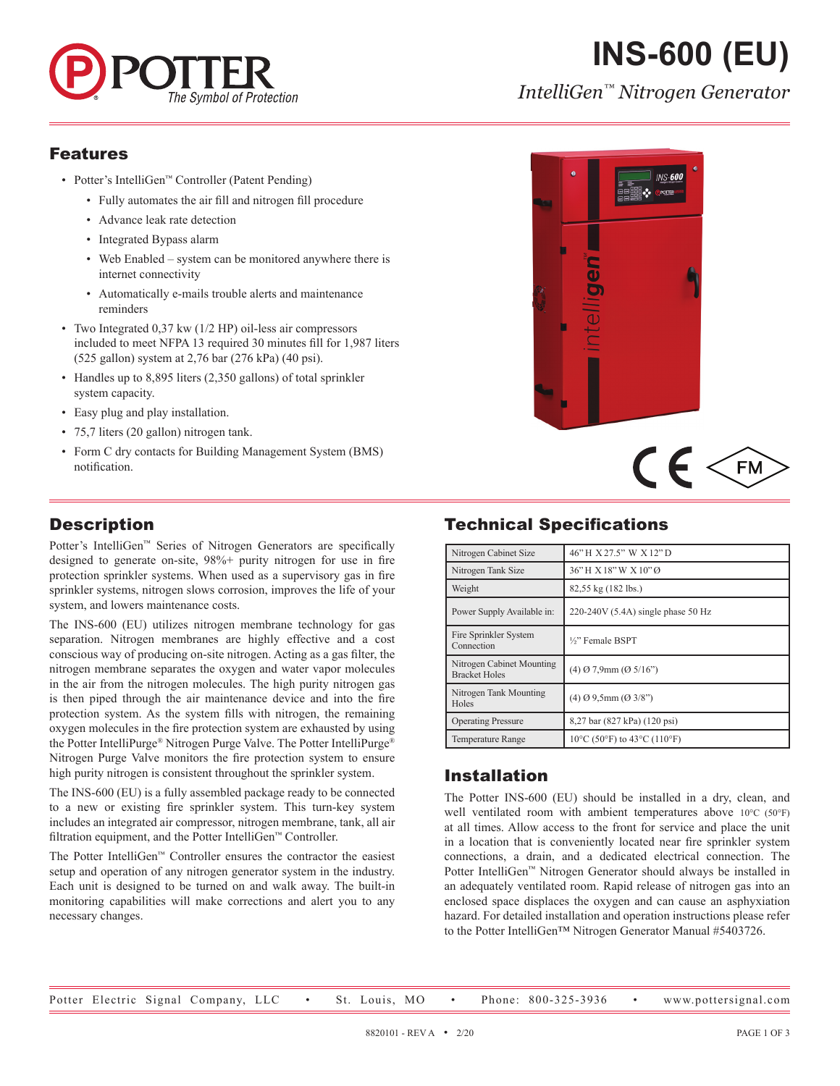

# **INS-600 (EU)**

*IntelliGen™ Nitrogen Generator*

#### Features

- Potter's IntelliGen™ Controller (Patent Pending)
	- Fully automates the air fill and nitrogen fill procedure
	- Advance leak rate detection
	- Integrated Bypass alarm
	- Web Enabled system can be monitored anywhere there is internet connectivity
	- Automatically e-mails trouble alerts and maintenance reminders
- Two Integrated 0.37 kw (1/2 HP) oil-less air compressors included to meet NFPA 13 required 30 minutes fill for 1,987 liters (525 gallon) system at 2,76 bar (276 kPa) (40 psi).
- Handles up to 8,895 liters (2,350 gallons) of total sprinkler system capacity.
- Easy plug and play installation.
- 75,7 liters (20 gallon) nitrogen tank.
- Form C dry contacts for Building Management System (BMS) notification.

## **Description**

Potter's IntelliGen™ Series of Nitrogen Generators are specifically designed to generate on-site, 98%+ purity nitrogen for use in fire protection sprinkler systems. When used as a supervisory gas in fire sprinkler systems, nitrogen slows corrosion, improves the life of your system, and lowers maintenance costs.

The INS-600 (EU) utilizes nitrogen membrane technology for gas separation. Nitrogen membranes are highly effective and a cost conscious way of producing on-site nitrogen. Acting as a gas filter, the nitrogen membrane separates the oxygen and water vapor molecules in the air from the nitrogen molecules. The high purity nitrogen gas is then piped through the air maintenance device and into the fire protection system. As the system fills with nitrogen, the remaining oxygen molecules in the fire protection system are exhausted by using the Potter IntelliPurge® Nitrogen Purge Valve. The Potter IntelliPurge® Nitrogen Purge Valve monitors the fire protection system to ensure high purity nitrogen is consistent throughout the sprinkler system.

The INS-600 (EU) is a fully assembled package ready to be connected to a new or existing fire sprinkler system. This turn-key system includes an integrated air compressor, nitrogen membrane, tank, all air filtration equipment, and the Potter IntelliGen™ Controller.

The Potter IntelliGen™ Controller ensures the contractor the easiest setup and operation of any nitrogen generator system in the industry. Each unit is designed to be turned on and walk away. The built-in monitoring capabilities will make corrections and alert you to any necessary changes.



# $C \in \mathbb{R}$

# Technical Specifications

| Nitrogen Cabinet Size                             | 46" H X 27.5" W X 12" D               |  |
|---------------------------------------------------|---------------------------------------|--|
| Nitrogen Tank Size                                | 36"H X 18"W X 10"Ø                    |  |
| Weight                                            | 82,55 kg (182 lbs.)                   |  |
| Power Supply Available in:                        | 220-240V (5.4A) single phase 50 Hz    |  |
| Fire Sprinkler System<br>Connection               | 1/ <sub>2</sub> " Female BSPT         |  |
| Nitrogen Cabinet Mounting<br><b>Bracket Holes</b> | $(4)$ Ø 7,9mm $(05/16)$               |  |
| Nitrogen Tank Mounting<br>Holes                   | $(4)$ Ø 9.5mm (Ø 3/8")                |  |
| <b>Operating Pressure</b>                         | 8,27 bar (827 kPa) (120 psi)          |  |
| <b>Temperature Range</b>                          | $10^{\circ}$ C (50°F) to 43°C (110°F) |  |

### Installation

The Potter INS-600 (EU) should be installed in a dry, clean, and well ventilated room with ambient temperatures above 10°C (50°F) at all times. Allow access to the front for service and place the unit in a location that is conveniently located near fire sprinkler system connections, a drain, and a dedicated electrical connection. The Potter IntelliGen™ Nitrogen Generator should always be installed in an adequately ventilated room. Rapid release of nitrogen gas into an enclosed space displaces the oxygen and can cause an asphyxiation hazard. For detailed installation and operation instructions please refer to the Potter IntelliGen™ Nitrogen Generator Manual #5403726.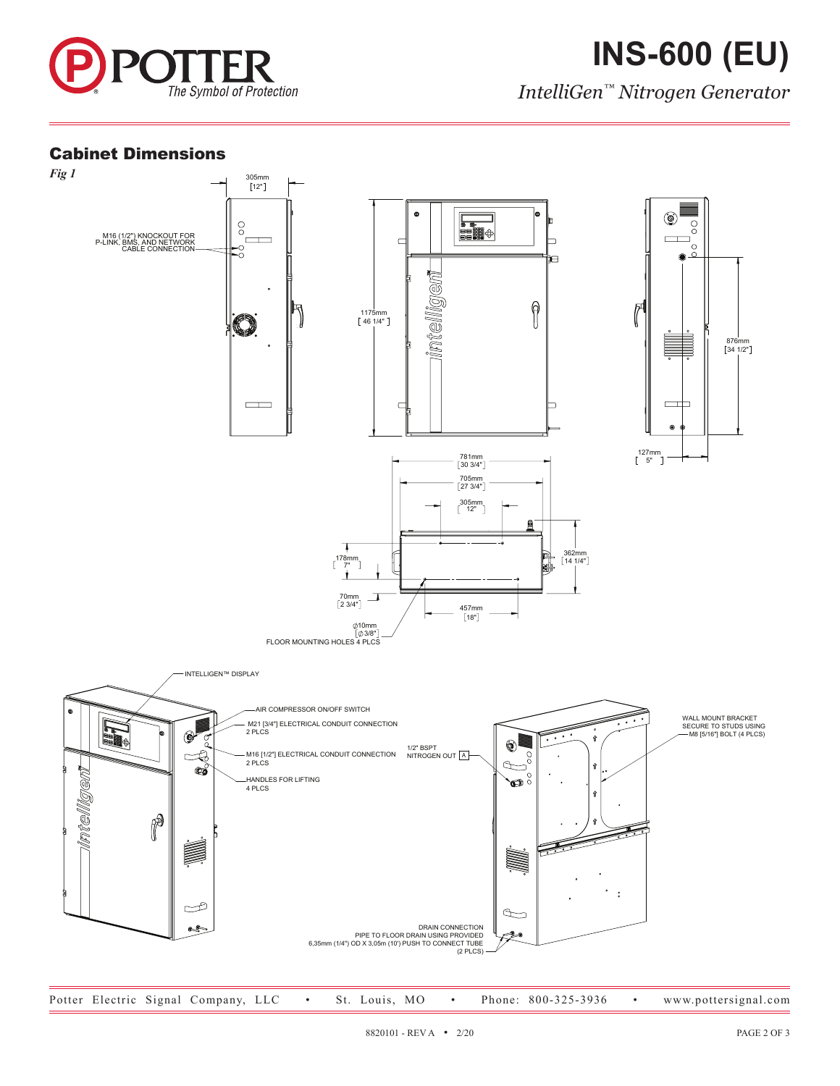

*IntelliGen™ Nitrogen Generator*

#### Cabinet Dimensions

M16 (1/2") KNOCKOUT FOR P-LINK, BMS, AND NETWORK CABLE CONNECTION



PIPE TO FLOOR DRAIN USING PROVIDED